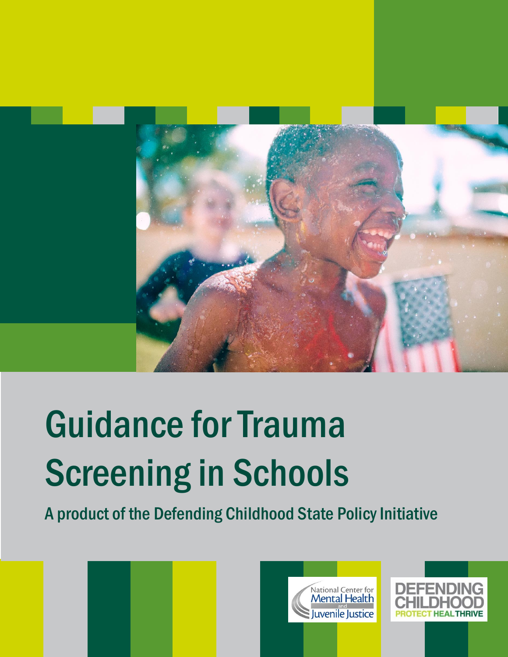

# Guidance for Trauma Screening in Schools

A product of the Defending Childhood State Policy Initiative





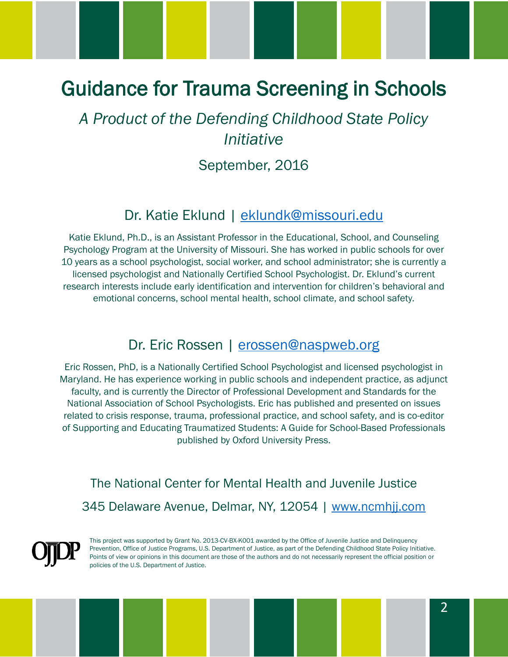# Guidance for Trauma Screening in Schools

## *A Product of the Defending Childhood State Policy Initiative*

#### September, 2016

#### Dr. Katie Eklund | [eklundk@missouri.edu](mailto:eklundk@missouri.edu)

Katie Eklund, Ph.D., is an Assistant Professor in the Educational, School, and Counseling Psychology Program at the University of Missouri. She has worked in public schools for over 10 years as a school psychologist, social worker, and school administrator; she is currently a licensed psychologist and Nationally Certified School Psychologist. Dr. Eklund's current research interests include early identification and intervention for children's behavioral and emotional concerns, school mental health, school climate, and school safety.

#### Dr. Eric Rossen | [erossen@naspweb.org](mailto:erossen@naspweb.org)

Eric Rossen, PhD, is a Nationally Certified School Psychologist and licensed psychologist in Maryland. He has experience working in public schools and independent practice, as adjunct faculty, and is currently the Director of Professional Development and Standards for the National Association of School Psychologists. Eric has published and presented on issues related to crisis response, trauma, professional practice, and school safety, and is co-editor of Supporting and Educating Traumatized Students: A Guide for School-Based Professionals published by Oxford University Press.

The National Center for Mental Health and Juvenile Justice 345 Delaware Avenue, Delmar, NY, 12054 | [www.ncmhjj.com](http://www.ncmhjj.com/)

This project was supported by Grant No. 2013-CV-BX-K001 awarded by the Office of Juvenile Justice and Delinquency Prevention, Office of Justice Programs, U.S. Department of Justice, as part of the Defending Childhood State Policy Initiative. Points of view or opinions in this document are those of the authors and do not necessarily represent the official position or policies of the U.S. Department of Justice.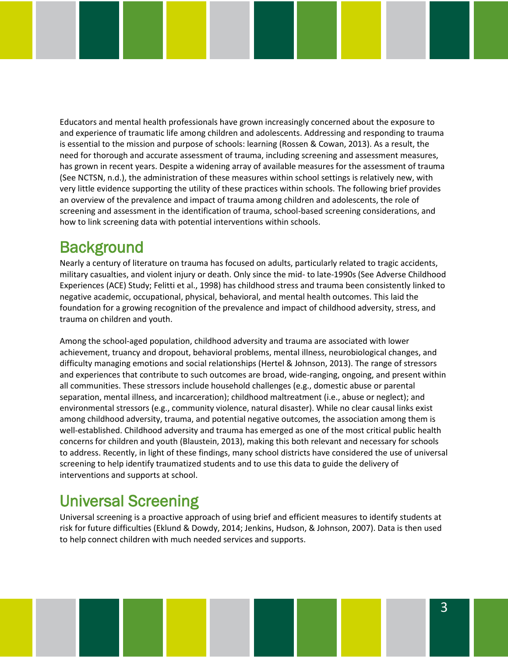Educators and mental health professionals have grown increasingly concerned about the exposure to and experience of traumatic life among children and adolescents. Addressing and responding to trauma is essential to the mission and purpose of schools: learning (Rossen & Cowan, 2013). As a result, the need for thorough and accurate assessment of trauma, including screening and assessment measures, has grown in recent years. Despite a widening array of available measures for the assessment of trauma (See NCTSN, n.d.), the administration of these measures within school settings is relatively new, with very little evidence supporting the utility of these practices within schools. The following brief provides an overview of the prevalence and impact of trauma among children and adolescents, the role of screening and assessment in the identification of trauma, school-based screening considerations, and how to link screening data with potential interventions within schools.

## **Background**

Nearly a century of literature on trauma has focused on adults, particularly related to tragic accidents, military casualties, and violent injury or death. Only since the mid- to late-1990s (See Adverse Childhood Experiences (ACE) Study; Felitti et al., 1998) has childhood stress and trauma been consistently linked to negative academic, occupational, physical, behavioral, and mental health outcomes. This laid the foundation for a growing recognition of the prevalence and impact of childhood adversity, stress, and trauma on children and youth.

Among the school-aged population, childhood adversity and trauma are associated with lower achievement, truancy and dropout, behavioral problems, mental illness, neurobiological changes, and difficulty managing emotions and social relationships (Hertel & Johnson, 2013). The range of stressors and experiences that contribute to such outcomes are broad, wide-ranging, ongoing, and present within all communities. These stressors include household challenges (e.g., domestic abuse or parental separation, mental illness, and incarceration); childhood maltreatment (i.e., abuse or neglect); and environmental stressors (e.g., community violence, natural disaster). While no clear causal links exist among childhood adversity, trauma, and potential negative outcomes, the association among them is well-established. Childhood adversity and trauma has emerged as one of the most critical public health concerns for children and youth (Blaustein, 2013), making this both relevant and necessary for schools to address. Recently, in light of these findings, many school districts have considered the use of universal screening to help identify traumatized students and to use this data to guide the delivery of interventions and supports at school.

## Universal Screening

Universal screening is a proactive approach of using brief and efficient measures to identify students at risk for future difficulties (Eklund & Dowdy, 2014; Jenkins, Hudson, & Johnson, 2007). Data is then used to help connect children with much needed services and supports.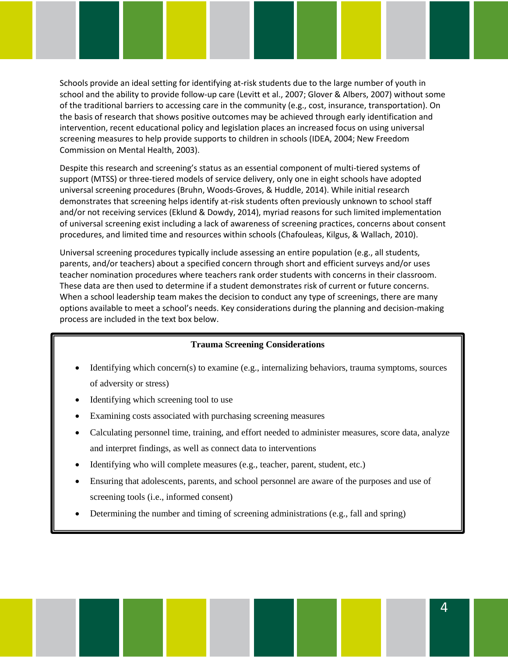Schools provide an ideal setting for identifying at-risk students due to the large number of youth in school and the ability to provide follow-up care (Levitt et al., 2007; Glover & Albers, 2007) without some of the traditional barriers to accessing care in the community (e.g., cost, insurance, transportation). On the basis of research that shows positive outcomes may be achieved through early identification and intervention, recent educational policy and legislation places an increased focus on using universal screening measures to help provide supports to children in schools (IDEA, 2004; New Freedom Commission on Mental Health, 2003).

Despite this research and screening's status as an essential component of multi-tiered systems of support (MTSS) or three-tiered models of service delivery, only one in eight schools have adopted universal screening procedures (Bruhn, Woods-Groves, & Huddle, 2014). While initial research demonstrates that screening helps identify at-risk students often previously unknown to school staff and/or not receiving services (Eklund & Dowdy, 2014), myriad reasons for such limited implementation of universal screening exist including a lack of awareness of screening practices, concerns about consent procedures, and limited time and resources within schools (Chafouleas, Kilgus, & Wallach, 2010).

Universal screening procedures typically include assessing an entire population (e.g., all students, parents, and/or teachers) about a specified concern through short and efficient surveys and/or uses teacher nomination procedures where teachers rank order students with concerns in their classroom. These data are then used to determine if a student demonstrates risk of current or future concerns. When a school leadership team makes the decision to conduct any type of screenings, there are many options available to meet a school's needs. Key considerations during the planning and decision-making process are included in the text box below.

#### **Trauma Screening Considerations**

- Identifying which concern(s) to examine (e.g., internalizing behaviors, trauma symptoms, sources of adversity or stress)
- Identifying which screening tool to use
- Examining costs associated with purchasing screening measures
- Calculating personnel time, training, and effort needed to administer measures, score data, analyze and interpret findings, as well as connect data to interventions
- Identifying who will complete measures (e.g., teacher, parent, student, etc.)
- Ensuring that adolescents, parents, and school personnel are aware of the purposes and use of screening tools (i.e., informed consent)
- Determining the number and timing of screening administrations (e.g., fall and spring)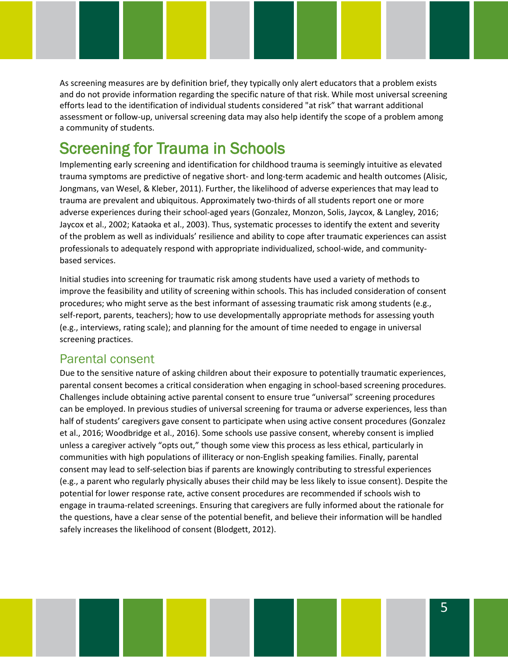As screening measures are by definition brief, they typically only alert educators that a problem exists and do not provide information regarding the specific nature of that risk. While most universal screening efforts lead to the identification of individual students considered "at risk" that warrant additional assessment or follow-up, universal screening data may also help identify the scope of a problem among a community of students.

## Screening for Trauma in Schools

Implementing early screening and identification for childhood trauma is seemingly intuitive as elevated trauma symptoms are predictive of negative short- and long-term academic and health outcomes (Alisic, Jongmans, van Wesel, & Kleber, 2011). Further, the likelihood of adverse experiences that may lead to trauma are prevalent and ubiquitous. Approximately two-thirds of all students report one or more adverse experiences during their school-aged years (Gonzalez, Monzon, Solis, Jaycox, & Langley, 2016; Jaycox et al., 2002; Kataoka et al., 2003). Thus, systematic processes to identify the extent and severity of the problem as well as individuals' resilience and ability to cope after traumatic experiences can assist professionals to adequately respond with appropriate individualized, school-wide, and communitybased services.

Initial studies into screening for traumatic risk among students have used a variety of methods to improve the feasibility and utility of screening within schools. This has included consideration of consent procedures; who might serve as the best informant of assessing traumatic risk among students (e.g., self-report, parents, teachers); how to use developmentally appropriate methods for assessing youth (e.g., interviews, rating scale); and planning for the amount of time needed to engage in universal screening practices.

#### Parental consent

Due to the sensitive nature of asking children about their exposure to potentially traumatic experiences, parental consent becomes a critical consideration when engaging in school-based screening procedures. Challenges include obtaining active parental consent to ensure true "universal" screening procedures can be employed. In previous studies of universal screening for trauma or adverse experiences, less than half of students' caregivers gave consent to participate when using active consent procedures (Gonzalez et al., 2016; Woodbridge et al., 2016). Some schools use passive consent, whereby consent is implied unless a caregiver actively "opts out," though some view this process as less ethical, particularly in communities with high populations of illiteracy or non-English speaking families. Finally, parental consent may lead to self-selection bias if parents are knowingly contributing to stressful experiences (e.g., a parent who regularly physically abuses their child may be less likely to issue consent). Despite the potential for lower response rate, active consent procedures are recommended if schools wish to engage in trauma-related screenings. Ensuring that caregivers are fully informed about the rationale for the questions, have a clear sense of the potential benefit, and believe their information will be handled safely increases the likelihood of consent (Blodgett, 2012).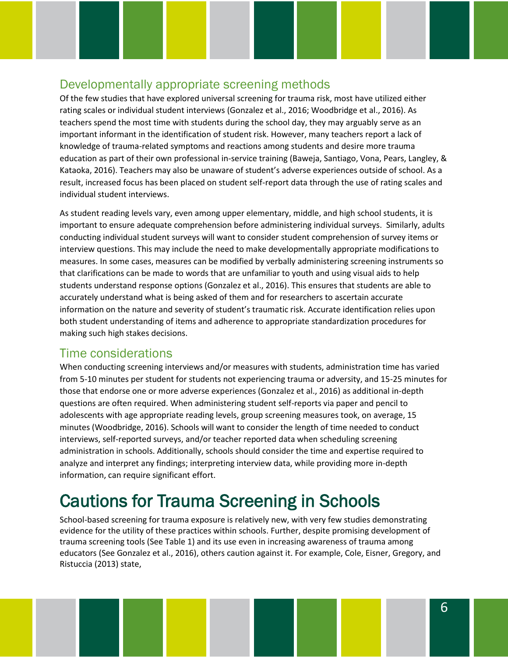#### Developmentally appropriate screening methods

Of the few studies that have explored universal screening for trauma risk, most have utilized either rating scales or individual student interviews (Gonzalez et al., 2016; Woodbridge et al., 2016). As teachers spend the most time with students during the school day, they may arguably serve as an important informant in the identification of student risk. However, many teachers report a lack of knowledge of trauma-related symptoms and reactions among students and desire more trauma education as part of their own professional in-service training (Baweja, Santiago, Vona, Pears, Langley, & Kataoka, 2016). Teachers may also be unaware of student's adverse experiences outside of school. As a result, increased focus has been placed on student self-report data through the use of rating scales and individual student interviews.

As student reading levels vary, even among upper elementary, middle, and high school students, it is important to ensure adequate comprehension before administering individual surveys. Similarly, adults conducting individual student surveys will want to consider student comprehension of survey items or interview questions. This may include the need to make developmentally appropriate modifications to measures. In some cases, measures can be modified by verbally administering screening instruments so that clarifications can be made to words that are unfamiliar to youth and using visual aids to help students understand response options (Gonzalez et al., 2016). This ensures that students are able to accurately understand what is being asked of them and for researchers to ascertain accurate information on the nature and severity of student's traumatic risk. Accurate identification relies upon both student understanding of items and adherence to appropriate standardization procedures for making such high stakes decisions.

#### Time considerations

When conducting screening interviews and/or measures with students, administration time has varied from 5-10 minutes per student for students not experiencing trauma or adversity, and 15-25 minutes for those that endorse one or more adverse experiences (Gonzalez et al., 2016) as additional in-depth questions are often required. When administering student self-reports via paper and pencil to adolescents with age appropriate reading levels, group screening measures took, on average, 15 minutes (Woodbridge, 2016). Schools will want to consider the length of time needed to conduct interviews, self-reported surveys, and/or teacher reported data when scheduling screening administration in schools. Additionally, schools should consider the time and expertise required to analyze and interpret any findings; interpreting interview data, while providing more in-depth information, can require significant effort.

# Cautions for Trauma Screening in Schools

School-based screening for trauma exposure is relatively new, with very few studies demonstrating evidence for the utility of these practices within schools. Further, despite promising development of trauma screening tools (See Table 1) and its use even in increasing awareness of trauma among educators (See Gonzalez et al., 2016), others caution against it. For example, Cole, Eisner, Gregory, and Ristuccia (2013) state,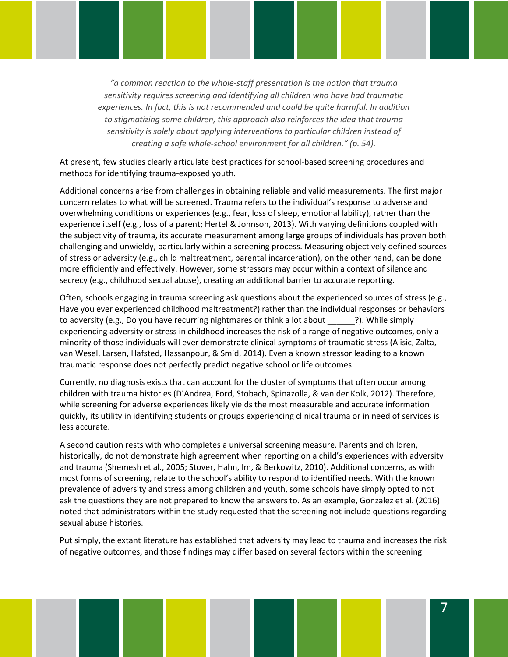*"a common reaction to the whole-staff presentation is the notion that trauma sensitivity requires screening and identifying all children who have had traumatic experiences. In fact, this is not recommended and could be quite harmful. In addition to stigmatizing some children, this approach also reinforces the idea that trauma sensitivity is solely about applying interventions to particular children instead of creating a safe whole-school environment for all children." (p. 54).* 

At present, few studies clearly articulate best practices for school-based screening procedures and methods for identifying trauma-exposed youth.

Additional concerns arise from challenges in obtaining reliable and valid measurements. The first major concern relates to what will be screened. Trauma refers to the individual's response to adverse and overwhelming conditions or experiences (e.g., fear, loss of sleep, emotional lability), rather than the experience itself (e.g., loss of a parent; Hertel & Johnson, 2013). With varying definitions coupled with the subjectivity of trauma, its accurate measurement among large groups of individuals has proven both challenging and unwieldy, particularly within a screening process. Measuring objectively defined sources of stress or adversity (e.g., child maltreatment, parental incarceration), on the other hand, can be done more efficiently and effectively. However, some stressors may occur within a context of silence and secrecy (e.g., childhood sexual abuse), creating an additional barrier to accurate reporting.

Often, schools engaging in trauma screening ask questions about the experienced sources of stress (e.g., Have you ever experienced childhood maltreatment?) rather than the individual responses or behaviors to adversity (e.g., Do you have recurring nightmares or think a lot about  $\qquad$ ?). While simply experiencing adversity or stress in childhood increases the risk of a range of negative outcomes, only a minority of those individuals will ever demonstrate clinical symptoms of traumatic stress (Alisic, Zalta, van Wesel, Larsen, Hafsted, Hassanpour, & Smid, 2014). Even a known stressor leading to a known traumatic response does not perfectly predict negative school or life outcomes.

Currently, no diagnosis exists that can account for the cluster of symptoms that often occur among children with trauma histories (D'Andrea, Ford, Stobach, Spinazolla, & van der Kolk, 2012). Therefore, while screening for adverse experiences likely yields the most measurable and accurate information quickly, its utility in identifying students or groups experiencing clinical trauma or in need of services is less accurate.

A second caution rests with who completes a universal screening measure. Parents and children, historically, do not demonstrate high agreement when reporting on a child's experiences with adversity and trauma (Shemesh et al., 2005; Stover, Hahn, Im, & Berkowitz, 2010). Additional concerns, as with most forms of screening, relate to the school's ability to respond to identified needs. With the known prevalence of adversity and stress among children and youth, some schools have simply opted to not ask the questions they are not prepared to know the answers to. As an example, Gonzalez et al. (2016) noted that administrators within the study requested that the screening not include questions regarding sexual abuse histories.

Put simply, the extant literature has established that adversity may lead to trauma and increases the risk of negative outcomes, and those findings may differ based on several factors within the screening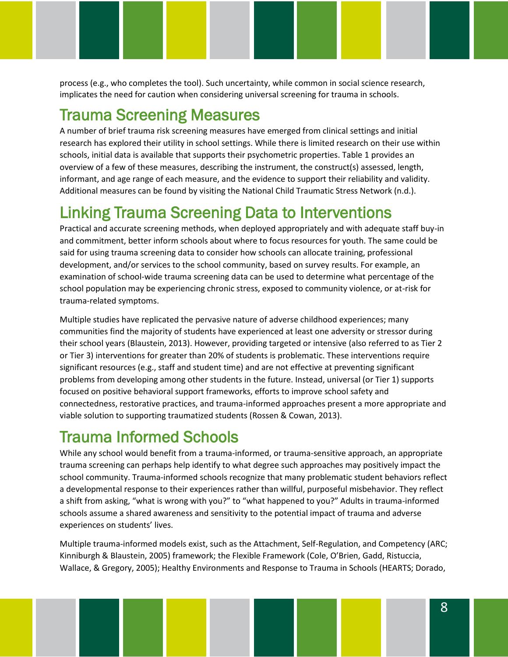process (e.g., who completes the tool). Such uncertainty, while common in social science research, implicates the need for caution when considering universal screening for trauma in schools.

## Trauma Screening Measures

A number of brief trauma risk screening measures have emerged from clinical settings and initial research has explored their utility in school settings. While there is limited research on their use within schools, initial data is available that supports their psychometric properties. Table 1 provides an overview of a few of these measures, describing the instrument, the construct(s) assessed, length, informant, and age range of each measure, and the evidence to support their reliability and validity. Additional measures can be found by visiting the National Child Traumatic Stress Network (n.d.).

## Linking Trauma Screening Data to Interventions

Practical and accurate screening methods, when deployed appropriately and with adequate staff buy-in and commitment, better inform schools about where to focus resources for youth. The same could be said for using trauma screening data to consider how schools can allocate training, professional development, and/or services to the school community, based on survey results. For example, an examination of school-wide trauma screening data can be used to determine what percentage of the school population may be experiencing chronic stress, exposed to community violence, or at-risk for trauma-related symptoms.

Multiple studies have replicated the pervasive nature of adverse childhood experiences; many communities find the majority of students have experienced at least one adversity or stressor during their school years (Blaustein, 2013). However, providing targeted or intensive (also referred to as Tier 2 or Tier 3) interventions for greater than 20% of students is problematic. These interventions require significant resources (e.g., staff and student time) and are not effective at preventing significant problems from developing among other students in the future. Instead, universal (or Tier 1) supports focused on positive behavioral support frameworks, efforts to improve school safety and connectedness, restorative practices, and trauma-informed approaches present a more appropriate and viable solution to supporting traumatized students (Rossen & Cowan, 2013).

## Trauma Informed Schools

While any school would benefit from a trauma-informed, or trauma-sensitive approach, an appropriate trauma screening can perhaps help identify to what degree such approaches may positively impact the school community. Trauma-informed schools recognize that many problematic student behaviors reflect a developmental response to their experiences rather than willful, purposeful misbehavior. They reflect a shift from asking, "what is wrong with you?" to "what happened to you?" Adults in trauma-informed schools assume a shared awareness and sensitivity to the potential impact of trauma and adverse experiences on students' lives.

Multiple trauma-informed models exist, such as the Attachment, Self-Regulation, and Competency (ARC; Kinniburgh & Blaustein, 2005) framework; the Flexible Framework (Cole, O'Brien, Gadd, Ristuccia, Wallace, & Gregory, 2005); Healthy Environments and Response to Trauma in Schools (HEARTS; Dorado,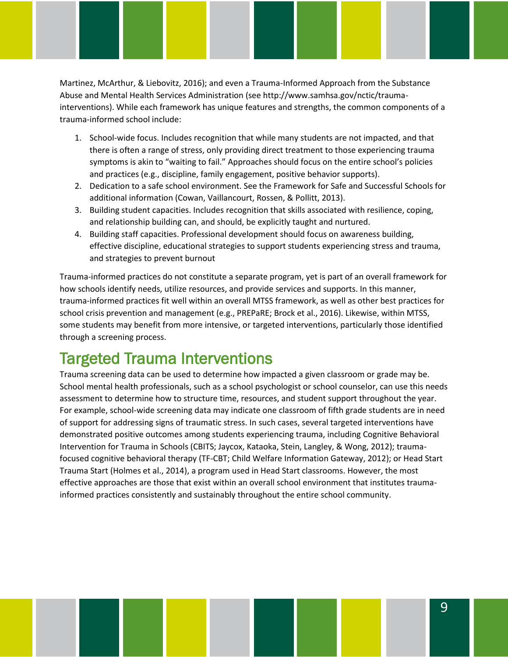Martinez, McArthur, & Liebovitz, 2016); and even a Trauma-Informed Approach from the Substance Abuse and Mental Health Services Administration (see http://www.samhsa.gov/nctic/traumainterventions). While each framework has unique features and strengths, the common components of a trauma-informed school include:

- 1. School-wide focus. Includes recognition that while many students are not impacted, and that there is often a range of stress, only providing direct treatment to those experiencing trauma symptoms is akin to "waiting to fail." Approaches should focus on the entire school's policies and practices (e.g., discipline, family engagement, positive behavior supports).
- 2. Dedication to a safe school environment. See the Framework for Safe and Successful Schools for additional information (Cowan, Vaillancourt, Rossen, & Pollitt, 2013).
- 3. Building student capacities. Includes recognition that skills associated with resilience, coping, and relationship building can, and should, be explicitly taught and nurtured.
- 4. Building staff capacities. Professional development should focus on awareness building, effective discipline, educational strategies to support students experiencing stress and trauma, and strategies to prevent burnout

Trauma-informed practices do not constitute a separate program, yet is part of an overall framework for how schools identify needs, utilize resources, and provide services and supports. In this manner, trauma-informed practices fit well within an overall MTSS framework, as well as other best practices for school crisis prevention and management (e.g., PREPaRE; Brock et al., 2016). Likewise, within MTSS, some students may benefit from more intensive, or targeted interventions, particularly those identified through a screening process.

## Targeted Trauma Interventions

Trauma screening data can be used to determine how impacted a given classroom or grade may be. School mental health professionals, such as a school psychologist or school counselor, can use this needs assessment to determine how to structure time, resources, and student support throughout the year. For example, school-wide screening data may indicate one classroom of fifth grade students are in need of support for addressing signs of traumatic stress. In such cases, several targeted interventions have demonstrated positive outcomes among students experiencing trauma, including Cognitive Behavioral Intervention for Trauma in Schools (CBITS; Jaycox, Kataoka, Stein, Langley, & Wong, 2012); traumafocused cognitive behavioral therapy (TF-CBT; Child Welfare Information Gateway, 2012); or Head Start Trauma Start (Holmes et al., 2014), a program used in Head Start classrooms. However, the most effective approaches are those that exist within an overall school environment that institutes traumainformed practices consistently and sustainably throughout the entire school community.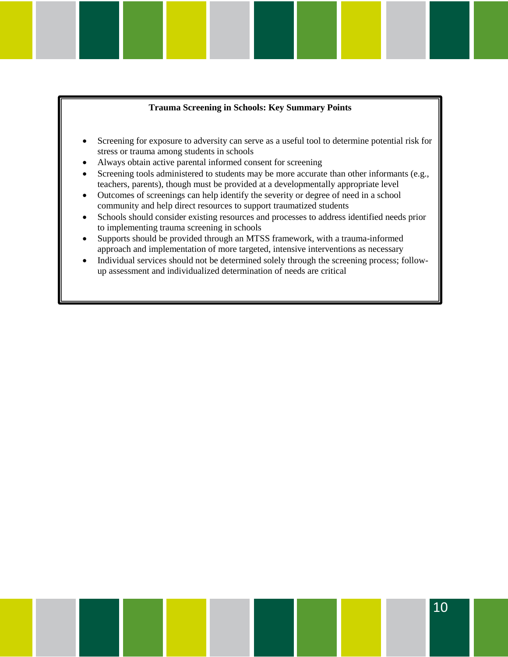#### **Trauma Screening in Schools: Key Summary Points**

- Screening for exposure to adversity can serve as a useful tool to determine potential risk for stress or trauma among students in schools
- Always obtain active parental informed consent for screening
- Screening tools administered to students may be more accurate than other informants (e.g., teachers, parents), though must be provided at a developmentally appropriate level
- Outcomes of screenings can help identify the severity or degree of need in a school community and help direct resources to support traumatized students
- Schools should consider existing resources and processes to address identified needs prior to implementing trauma screening in schools
- Supports should be provided through an MTSS framework, with a trauma-informed approach and implementation of more targeted, intensive interventions as necessary
- Individual services should not be determined solely through the screening process; followup assessment and individualized determination of needs are critical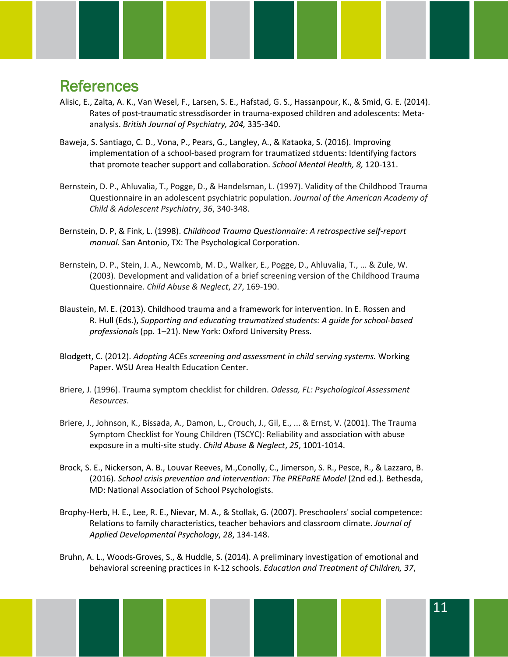### **References**

- Alisic, E., Zalta, A. K., Van Wesel, F., Larsen, S. E., Hafstad, G. S., Hassanpour, K., & Smid, G. E. (2014). Rates of post-traumatic stressdisorder in trauma-exposed children and adolescents: Metaanalysis. *British Journal of Psychiatry, 204,* 335-340.
- Baweja, S. Santiago, C. D., Vona, P., Pears, G., Langley, A., & Kataoka, S. (2016). Improving implementation of a school-based program for traumatized stduents: Identifying factors that promote teacher support and collaboration. *School Mental Health, 8,* 120-131.
- Bernstein, D. P., Ahluvalia, T., Pogge, D., & Handelsman, L. (1997). Validity of the Childhood Trauma Questionnaire in an adolescent psychiatric population. *Journal of the American Academy of Child & Adolescent Psychiatry*, *36*, 340-348.
- Bernstein, D. P, & Fink, L. (1998). *Childhood Trauma Questionnaire: A retrospective self-report manual.* San Antonio, TX: The Psychological Corporation.
- Bernstein, D. P., Stein, J. A., Newcomb, M. D., Walker, E., Pogge, D., Ahluvalia, T., ... & Zule, W. (2003). Development and validation of a brief screening version of the Childhood Trauma Questionnaire. *Child Abuse & Neglect*, *27*, 169-190.
- Blaustein, M. E. (2013). Childhood trauma and a framework for intervention. In E. Rossen and R. Hull (Eds.), *Supporting and educating traumatized students: A guide for school-based professionals* (pp. 1–21). New York: Oxford University Press.
- Blodgett, C. (2012). *Adopting ACEs screening and assessment in child serving systems.* Working Paper. WSU Area Health Education Center.
- Briere, J. (1996). Trauma symptom checklist for children. *Odessa, FL: Psychological Assessment Resources*.
- Briere, J., Johnson, K., Bissada, A., Damon, L., Crouch, J., Gil, E., ... & Ernst, V. (2001). The Trauma Symptom Checklist for Young Children (TSCYC): Reliability and association with abuse exposure in a multi-site study. *Child Abuse & Neglect*, *25*, 1001-1014.
- Brock, S. E., Nickerson, A. B., Louvar Reeves, M.,Conolly, C., Jimerson, S. R., Pesce, R., & Lazzaro, B. (2016). *School crisis prevention and intervention: The PREPaRE Model* (2nd ed.)*.* Bethesda, MD: National Association of School Psychologists.
- Brophy-Herb, H. E., Lee, R. E., Nievar, M. A., & Stollak, G. (2007). Preschoolers' social competence: Relations to family characteristics, teacher behaviors and classroom climate. *Journal of Applied Developmental Psychology*, *28*, 134-148.
- Bruhn, A. L., Woods-Groves, S., & Huddle, S. (2014). A preliminary investigation of emotional and behavioral screening practices in K-12 schools*. Education and Treatment of Children, 37*,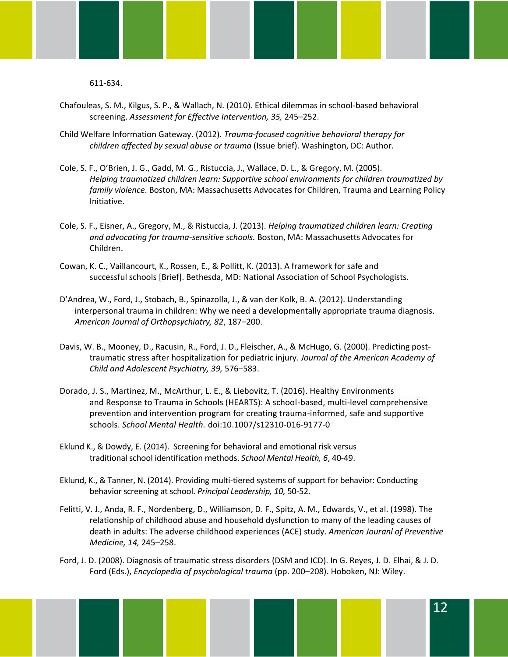611-634.

- Chafouleas, S. M., Kilgus, S. P., & Wallach, N. (2010). Ethical dilemmas in school-based behavioral screening. *Assessment for Effective Intervention, 35,* 245–252.
- Child Welfare Information Gateway. (2012). *Trauma-focused cognitive behavioral therapy for children affected by sexual abuse or trauma* (Issue brief). Washington, DC: Author.
- Cole, S. F., O'Brien, J. G., Gadd, M. G., Ristuccia, J., Wallace, D. L., & Gregory, M. (2005). *Helping traumatized children learn: Supportive school environments for children traumatized by family violence*. Boston, MA: Massachusetts Advocates for Children, Trauma and Learning Policy Initiative.
- Cole, S. F., Eisner, A., Gregory, M., & Ristuccia, J. (2013). *Helping traumatized children learn: Creating and advocating for trauma-sensitive schools.* Boston, MA: Massachusetts Advocates for Children.
- Cowan, K. C., Vaillancourt, K., Rossen, E., & Pollitt, K. (2013). A framework for safe and successful schools [Brief]. Bethesda, MD: National Association of School Psychologists.
- D'Andrea, W., Ford, J., Stobach, B., Spinazolla, J., & van der Kolk, B. A. (2012). Understanding interpersonal trauma in children: Why we need a developmentally appropriate trauma diagnosis. *American Journal of Orthopsychiatry, 82*, 187–200.
- Davis, W. B., Mooney, D., Racusin, R., Ford, J. D., Fleischer, A., & McHugo, G. (2000). Predicting posttraumatic stress after hospitalization for pediatric injury. *Journal of the American Academy of Child and Adolescent Psychiatry, 39,* 576–583.
- Dorado, J. S., Martinez, M., McArthur, L. E., & Liebovitz, T. (2016). Healthy Environments and Response to Trauma in Schools (HEARTS): A school-based, multi-level comprehensive prevention and intervention program for creating trauma-informed, safe and supportive schools. *School Mental Health.* doi[:10.1007/s12310-016-9177-0](http://dx.doi.org/10.1007/s12310-016-9177-0)
- Eklund K., & Dowdy, E. (2014). Screening for behavioral and emotional risk versus traditional school identification methods. *School Mental Health, 6*, 40-49.
- Eklund, K., & Tanner, N. (2014). Providing multi-tiered systems of support for behavior: Conducting behavior screening at school. *Principal Leadership, 10,* 50-52.
- Felitti, V. J., Anda, R. F., Nordenberg, D., Williamson, D. F., Spitz, A. M., Edwards, V., et al. (1998). The relationship of childhood abuse and household dysfunction to many of the leading causes of death in adults: The adverse childhood experiences (ACE) study. *American Jouranl of Preventive Medicine, 14,* 245–258.
- Ford, J. D. (2008). Diagnosis of traumatic stress disorders (DSM and ICD). In G. Reyes, J. D. Elhai, & J. D. Ford (Eds.), *Encyclopedia of psychological trauma* (pp. 200–208). Hoboken, NJ: Wiley.

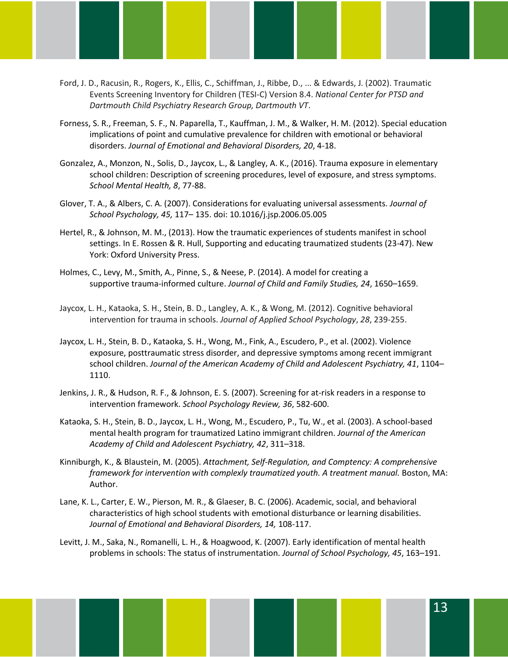- Ford, J. D., Racusin, R., Rogers, K., Ellis, C., Schiffman, J., Ribbe, D., ... & Edwards, J. (2002). Traumatic Events Screening Inventory for Children (TESI-C) Version 8.4. *National Center for PTSD and Dartmouth Child Psychiatry Research Group, Dartmouth VT*.
- Forness, S. R., Freeman, S. F., N. Paparella, T., Kauffman, J. M., & Walker, H. M. (2012). Special education implications of point and cumulative prevalence for children with emotional or behavioral disorders. *Journal of Emotional and Behavioral Disorders, 20*, 4-18.
- Gonzalez, A., Monzon, N., Solis, D., Jaycox, L., & Langley, A. K., (2016). Trauma exposure in elementary school children: Description of screening procedures, level of exposure, and stress symptoms. *School Mental Health, 8*, 77-88.
- Glover, T. A., & Albers, C. A. (2007). Considerations for evaluating universal assessments. *Journal of School Psychology, 45,* 117– 135. doi: 10.1016/j.jsp.2006.05.005
- Hertel, R., & Johnson, M. M., (2013). How the traumatic experiences of students manifest in school settings. In E. Rossen & R. Hull, Supporting and educating traumatized students (23-47). New York: Oxford University Press.
- Holmes, C., Levy, M., Smith, A., Pinne, S., & Neese, P. (2014). A model for creating a supportive trauma-informed culture. *Journal of Child and Family Studies, 24*, 1650–1659.
- Jaycox, L. H., Kataoka, S. H., Stein, B. D., Langley, A. K., & Wong, M. (2012). Cognitive behavioral intervention for trauma in schools. *Journal of Applied School Psychology*, *28*, 239-255.
- Jaycox, L. H., Stein, B. D., Kataoka, S. H., Wong, M., Fink, A., Escudero, P., et al. (2002). Violence exposure, posttraumatic stress disorder, and depressive symptoms among recent immigrant school children. *Journal of the American Academy of Child and Adolescent Psychiatry, 41*, 1104– 1110.
- Jenkins, J. R., & Hudson, R. F., & Johnson, E. S. (2007). Screening for at-risk readers in a response to intervention framework. *School Psychology Review, 36*, 582-600.
- Kataoka, S. H., Stein, B. D., Jaycox, L. H., Wong, M., Escudero, P., Tu, W., et al. (2003). A school-based mental health program for traumatized Latino immigrant children. *Journal of the American Academy of Child and Adolescent Psychiatry, 42*, 311–318.
- Kinniburgh, K., & Blaustein, M. (2005). *Attachment, Self-Regulation, and Comptency: A comprehensive framework for intervention with complexly traumatized youth. A treatment manual. Boston, MA:* Author.
- Lane, K. L., Carter, E. W., Pierson, M. R., & Glaeser, B. C. (2006). Academic, social, and behavioral characteristics of high school students with emotional disturbance or learning disabilities. *Journal of Emotional and Behavioral Disorders, 14,* 108-117.
- Levitt, J. M., Saka, N., Romanelli, L. H., & Hoagwood, K. (2007). Early identification of mental health problems in schools: The status of instrumentation. *Journal of School Psychology, 45*, 163–191.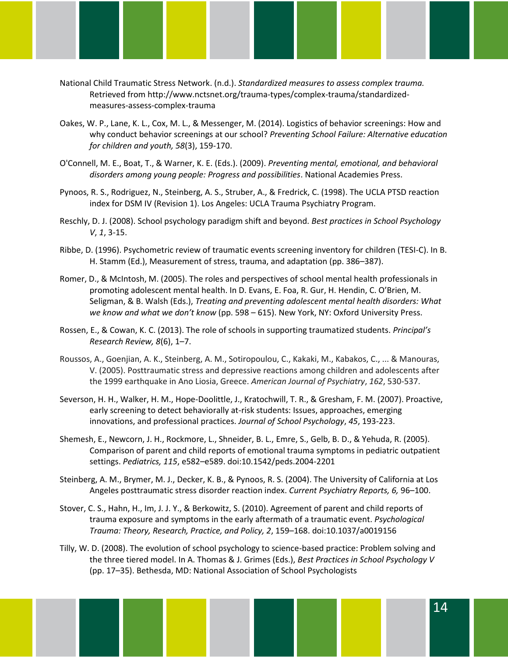- National Child Traumatic Stress Network. (n.d.). *Standardized measures to assess complex trauma.*  Retrieved from http://www.nctsnet.org/trauma-types/complex-trauma/standardizedmeasures-assess-complex-trauma
- Oakes, W. P., Lane, K. L., Cox, M. L., & Messenger, M. (2014). Logistics of behavior screenings: How and why conduct behavior screenings at our school? *Preventing School Failure: Alternative education for children and youth, 58*(3), 159-170.
- O'Connell, M. E., Boat, T., & Warner, K. E. (Eds.). (2009). *Preventing mental, emotional, and behavioral disorders among young people: Progress and possibilities*. National Academies Press.
- Pynoos, R. S., Rodriguez, N., Steinberg, A. S., Struber, A., & Fredrick, C. (1998). The UCLA PTSD reaction index for DSM IV (Revision 1). Los Angeles: UCLA Trauma Psychiatry Program.
- Reschly, D. J. (2008). School psychology paradigm shift and beyond. *Best practices in School Psychology V*, *1*, 3-15.
- Ribbe, D. (1996). Psychometric review of traumatic events screening inventory for children (TESI-C). In B. H. Stamm (Ed.), Measurement of stress, trauma, and adaptation (pp. 386–387).
- Romer, D., & McIntosh, M. (2005). The roles and perspectives of school mental health professionals in promoting adolescent mental health. In D. Evans, E. Foa, R. Gur, H. Hendin, C. O'Brien, M. Seligman, & B. Walsh (Eds.), *Treating and preventing adolescent mental health disorders: What we know and what we don't know* (pp. 598 – 615). New York, NY: Oxford University Press.
- Rossen, E., & Cowan, K. C. (2013). The role of schools in supporting traumatized students. *Principal's Research Review, 8*(6), 1–7.
- Roussos, A., Goenjian, A. K., Steinberg, A. M., Sotiropoulou, C., Kakaki, M., Kabakos, C., ... & Manouras, V. (2005). Posttraumatic stress and depressive reactions among children and adolescents after the 1999 earthquake in Ano Liosia, Greece. *American Journal of Psychiatry*, *162*, 530-537.
- Severson, H. H., Walker, H. M., Hope-Doolittle, J., Kratochwill, T. R., & Gresham, F. M. (2007). Proactive, early screening to detect behaviorally at-risk students: Issues, approaches, emerging innovations, and professional practices. *Journal of School Psychology*, *45*, 193-223.
- Shemesh, E., Newcorn, J. H., Rockmore, L., Shneider, B. L., Emre, S., Gelb, B. D., & Yehuda, R. (2005). Comparison of parent and child reports of emotional trauma symptoms in pediatric outpatient settings. *Pediatrics, 115*, e582–e589. doi:10.1542/peds.2004-2201
- Steinberg, A. M., Brymer, M. J., Decker, K. B., & Pynoos, R. S. (2004). The University of California at Los Angeles posttraumatic stress disorder reaction index. *Current Psychiatry Reports, 6,* 96–100.
- Stover, C. S., Hahn, H., Im, J. J. Y., & Berkowitz, S. (2010). Agreement of parent and child reports of trauma exposure and symptoms in the early aftermath of a traumatic event. *Psychological Trauma: Theory, Research, Practice, and Policy, 2*, 159–168. doi:10.1037/a0019156
- Tilly, W. D. (2008). The evolution of school psychology to science-based practice: Problem solving and the three tiered model. In A. Thomas & J. Grimes (Eds.), *Best Practices in School Psychology V* (pp. 17–35). Bethesda, MD: National Association of School Psychologists